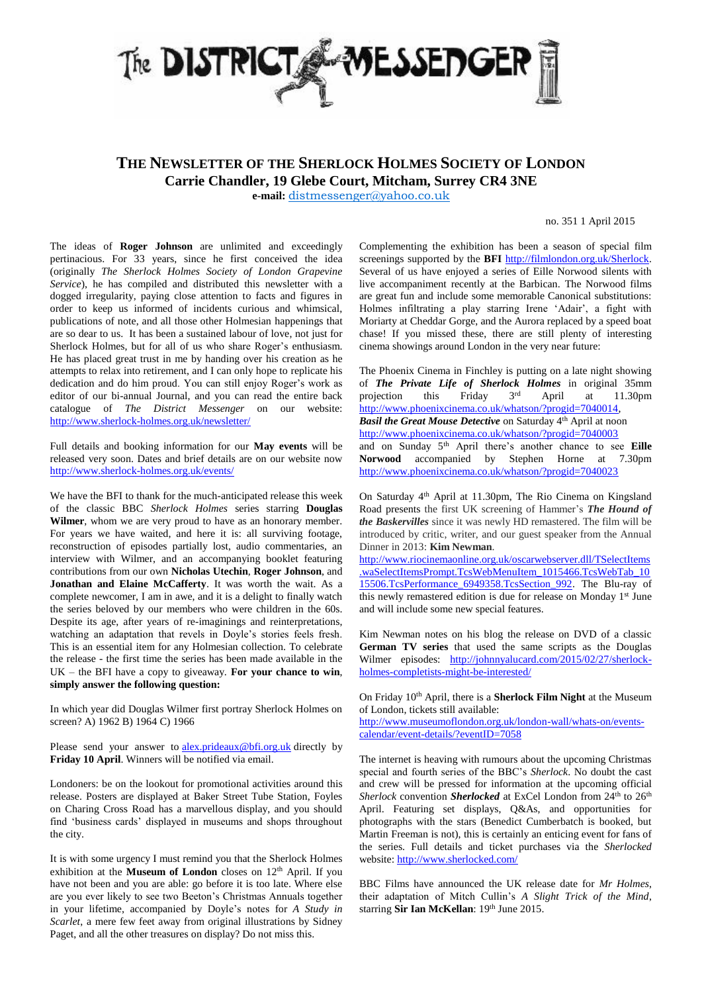

## **THE NEWSLETTER OF THE SHERLOCK HOLMES SOCIETY OF LONDON**

**Carrie Chandler, 19 Glebe Court, Mitcham, Surrey CR4 3NE**

**e-mail:** [distmessenger@yahoo.co.uk](http://yahoo.co.uk/)

no. 351 1 April 2015

The ideas of **Roger Johnson** are unlimited and exceedingly pertinacious. For 33 years, since he first conceived the idea (originally *The Sherlock Holmes Society of London Grapevine Service*), he has compiled and distributed this newsletter with a dogged irregularity, paying close attention to facts and figures in order to keep us informed of incidents curious and whimsical, publications of note, and all those other Holmesian happenings that are so dear to us. It has been a sustained labour of love, not just for Sherlock Holmes, but for all of us who share Roger's enthusiasm. He has placed great trust in me by handing over his creation as he attempts to relax into retirement, and I can only hope to replicate his dedication and do him proud. You can still enjoy Roger's work as editor of our bi-annual Journal, and you can read the entire back catalogue of *The District Messenger* on our website: <http://www.sherlock-holmes.org.uk/newsletter/>

Full details and booking information for our **May events** will be released very soon. Dates and brief details are on our website now <http://www.sherlock-holmes.org.uk/events/>

We have the BFI to thank for the much-anticipated release this week of the classic BBC *Sherlock Holmes* series starring **Douglas Wilmer**, whom we are very proud to have as an honorary member. For years we have waited, and here it is: all surviving footage, reconstruction of episodes partially lost, audio commentaries, an interview with Wilmer, and an accompanying booklet featuring contributions from our own **Nicholas Utechin**, **Roger Johnson**, and **Jonathan and Elaine McCafferty**. It was worth the wait. As a complete newcomer, I am in awe, and it is a delight to finally watch the series beloved by our members who were children in the 60s. Despite its age, after years of re-imaginings and reinterpretations, watching an adaptation that revels in Doyle's stories feels fresh. This is an essential item for any Holmesian collection. To celebrate the release - the first time the series has been made available in the UK – the BFI have a copy to giveaway. **For your chance to win**, **simply answer the following question:**

In which year did Douglas Wilmer first portray Sherlock Holmes on screen? A) 1962 B) 1964 C) 1966

Please send your answer to **[alex.prideaux@bfi.org.uk](mailto:alex.prideaux@bfi.org.uk)** directly by **Friday 10 April**. Winners will be notified via email.

Londoners: be on the lookout for promotional activities around this release. Posters are displayed at Baker Street Tube Station, Foyles on Charing Cross Road has a marvellous display, and you should find 'business cards' displayed in museums and shops throughout the city.

It is with some urgency I must remind you that the Sherlock Holmes exhibition at the **Museum of London** closes on 12<sup>th</sup> April. If you have not been and you are able: go before it is too late. Where else are you ever likely to see two Beeton's Christmas Annuals together in your lifetime, accompanied by Doyle's notes for *A Study in Scarlet*, a mere few feet away from original illustrations by Sidney Paget, and all the other treasures on display? Do not miss this.

Complementing the exhibition has been a season of special film screenings supported by the **BFI** [http://filmlondon.org.uk/Sherlock.](http://filmlondon.org.uk/Sherlock)  Several of us have enjoyed a series of Eille Norwood silents with live accompaniment recently at the Barbican. The Norwood films are great fun and include some memorable Canonical substitutions: Holmes infiltrating a play starring Irene 'Adair', a fight with Moriarty at Cheddar Gorge, and the Aurora replaced by a speed boat chase! If you missed these, there are still plenty of interesting cinema showings around London in the very near future:

The Phoenix Cinema in Finchley is putting on a late night showing of *The Private Life of Sherlock Holmes* in original 35mm projection this Friday April at 11.30pm [http://www.phoenixcinema.co.uk/whatson/?progid=7040014,](http://www.phoenixcinema.co.uk/whatson/?progid=7040014)  *Basil the Great Mouse Detective* on Saturday 4<sup>th</sup> April at noon <http://www.phoenixcinema.co.uk/whatson/?progid=7040003> and on Sunday 5th April there's another chance to see **Eille Norwood** accompanied by Stephen Horne at 7.30pm <http://www.phoenixcinema.co.uk/whatson/?progid=7040023>

On Saturday 4th April at 11.30pm, The Rio Cinema on Kingsland Road presents the first UK screening of Hammer's *The Hound of the Baskervilles* since it was newly HD remastered. The film will be introduced by critic, writer, and our guest speaker from the Annual Dinner in 2013: **Kim Newman**.

[http://www.riocinemaonline.org.uk/oscarwebserver.dll/TSelectItems](http://www.riocinemaonline.org.uk/oscarwebserver.dll/TSelectItems.waSelectItemsPrompt.TcsWebMenuItem_1015466.TcsWebTab_1015506.TcsPerformance_6949358.TcsSection_992) [.waSelectItemsPrompt.TcsWebMenuItem\\_1015466.TcsWebTab\\_10](http://www.riocinemaonline.org.uk/oscarwebserver.dll/TSelectItems.waSelectItemsPrompt.TcsWebMenuItem_1015466.TcsWebTab_1015506.TcsPerformance_6949358.TcsSection_992) [15506.TcsPerformance\\_6949358.TcsSection\\_992.](http://www.riocinemaonline.org.uk/oscarwebserver.dll/TSelectItems.waSelectItemsPrompt.TcsWebMenuItem_1015466.TcsWebTab_1015506.TcsPerformance_6949358.TcsSection_992) The Blu-ray of this newly remastered edition is due for release on Monday 1<sup>st</sup> June and will include some new special features.

Kim Newman notes on his blog the release on DVD of a classic **German TV series** that used the same scripts as the Douglas Wilmer episodes: [http://johnnyalucard.com/2015/02/27/sherlock](http://johnnyalucard.com/2015/02/27/sherlock-holmes-completists-might-be-interested/)[holmes-completists-might-be-interested/](http://johnnyalucard.com/2015/02/27/sherlock-holmes-completists-might-be-interested/)

On Friday 10<sup>th</sup> April, there is a **Sherlock Film Night** at the Museum of London, tickets still available:

[http://www.museumoflondon.org.uk/london-wall/whats-on/events](http://www.museumoflondon.org.uk/london-wall/whats-on/events-calendar/event-details/?eventID=7058)[calendar/event-details/?eventID=7058](http://www.museumoflondon.org.uk/london-wall/whats-on/events-calendar/event-details/?eventID=7058)

The internet is heaving with rumours about the upcoming Christmas special and fourth series of the BBC's *Sherlock*. No doubt the cast and crew will be pressed for information at the upcoming official *Sherlock* convention *Sherlocked* at ExCel London from 24<sup>th</sup> to 26<sup>th</sup> April. Featuring set displays, Q&As, and opportunities for photographs with the stars (Benedict Cumberbatch is booked, but Martin Freeman is not), this is certainly an enticing event for fans of the series. Full details and ticket purchases via the *Sherlocked* website: <http://www.sherlocked.com/>

BBC Films have announced the UK release date for *Mr Holmes*, their adaptation of Mitch Cullin's *A Slight Trick of the Mind*, starring Sir Ian McKellan: 19th June 2015.